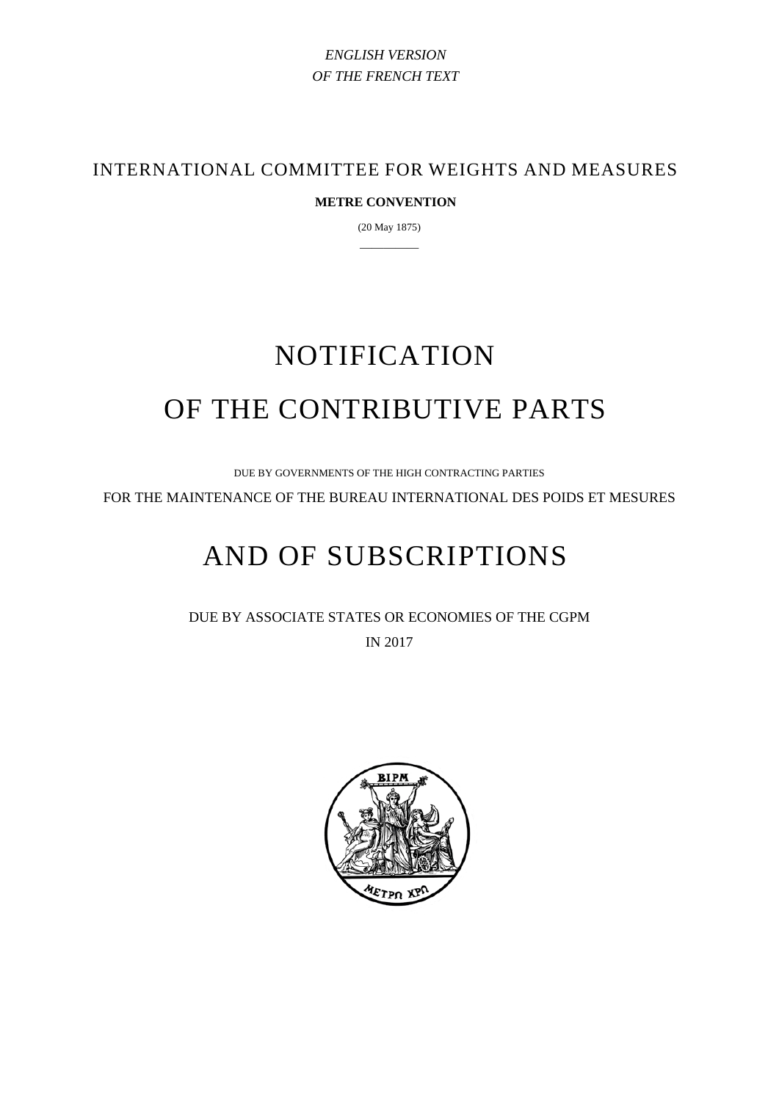# *ENGLISH VERSION OF THE FRENCH TEXT*

INTERNATIONAL COMMITTEE FOR WEIGHTS AND MEASURES

## **METRE CONVENTION**

(20 May 1875) —————

# NOTIFICATION OF THE CONTRIBUTIVE PARTS

DUE BY GOVERNMENTS OF THE HIGH CONTRACTING PARTIES

FOR THE MAINTENANCE OF THE BUREAU INTERNATIONAL DES POIDS ET MESURES

# AND OF SUBSCRIPTIONS

DUE BY ASSOCIATE STATES OR ECONOMIES OF THE CGPM IN 2017

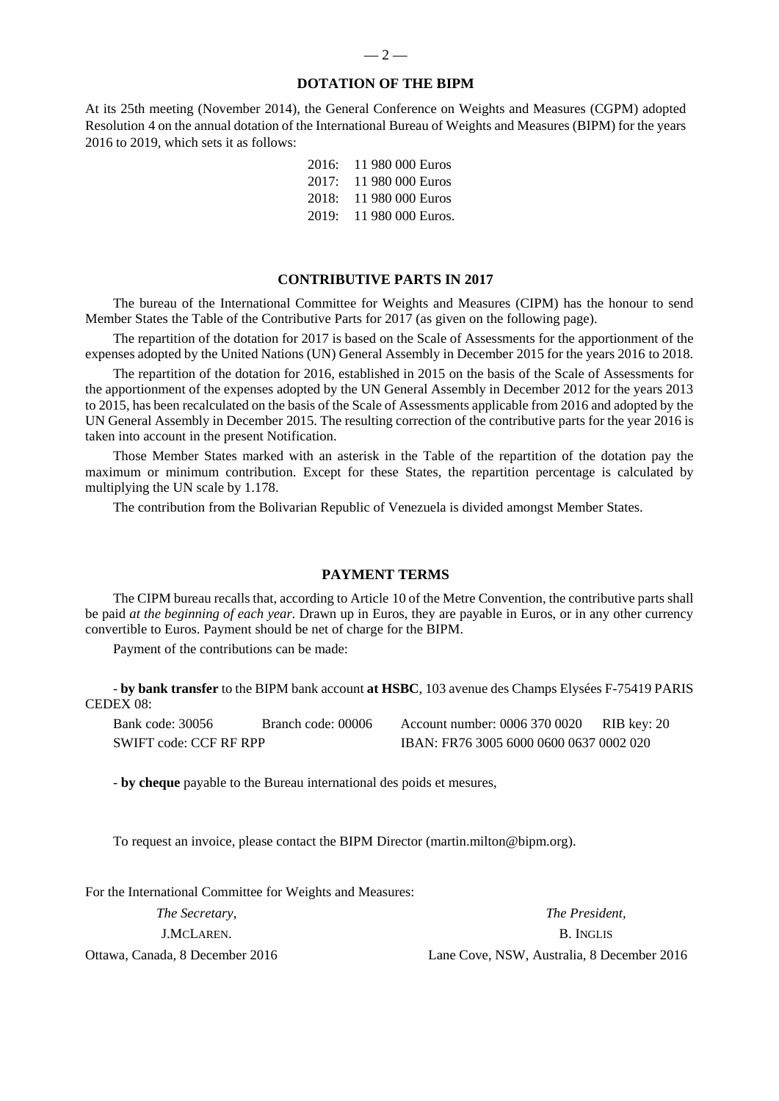#### **DOTATION OF THE BIPM**

At its 25th meeting (November 2014), the General Conference on Weights and Measures (CGPM) adopted Resolution 4 on the annual dotation of the International Bureau of Weights and Measures (BIPM) for the years 2016 to 2019, which sets it as follows:

> 2016: 11 980 000 Euros 2017: 11 980 000 Euros 2018: 11 980 000 Euros 2019: 11 980 000 Euros.

#### **CONTRIBUTIVE PARTS IN 2017**

The bureau of the International Committee for Weights and Measures (CIPM) has the honour to send Member States the Table of the Contributive Parts for 2017 (as given on the following page).

The repartition of the dotation for 2017 is based on the Scale of Assessments for the apportionment of the expenses adopted by the United Nations (UN) General Assembly in December 2015 for the years 2016 to 2018.

The repartition of the dotation for 2016, established in 2015 on the basis of the Scale of Assessments for the apportionment of the expenses adopted by the UN General Assembly in December 2012 for the years 2013 to 2015, has been recalculated on the basis of the Scale of Assessments applicable from 2016 and adopted by the UN General Assembly in December 2015. The resulting correction of the contributive parts for the year 2016 is taken into account in the present Notification.

Those Member States marked with an asterisk in the Table of the repartition of the dotation pay the maximum or minimum contribution. Except for these States, the repartition percentage is calculated by multiplying the UN scale by 1.178.

The contribution from the Bolivarian Republic of Venezuela is divided amongst Member States.

#### **PAYMENT TERMS**

The CIPM bureau recalls that, according to Article 10 of the Metre Convention, the contributive parts shall be paid *at the beginning of each year*. Drawn up in Euros, they are payable in Euros, or in any other currency convertible to Euros. Payment should be net of charge for the BIPM.

Payment of the contributions can be made:

- **by bank transfer** to the BIPM bank account **at HSBC**, 103 avenue des Champs Elysées F-75419 PARIS CEDEX 08:

| Bank code: 30056        | Branch code: 00006 | Account number: 0006 370 0020           | RIB key: 20 |  |  |  |  |
|-------------------------|--------------------|-----------------------------------------|-------------|--|--|--|--|
| SWIFT code: CCF RF RPP_ |                    | IBAN: FR76 3005 6000 0600 0637 0002 020 |             |  |  |  |  |

- **by cheque** payable to the Bureau international des poids et mesures,

To request an invoice, please contact the BIPM Director (martin.milton@bipm.org).

For the International Committee for Weights and Measures:

*The Secretary*, *The President,*  J.MCLAREN. B. INGLIS Ottawa, Canada, 8 December 2016 Lane Cove, NSW, Australia, 8 December 2016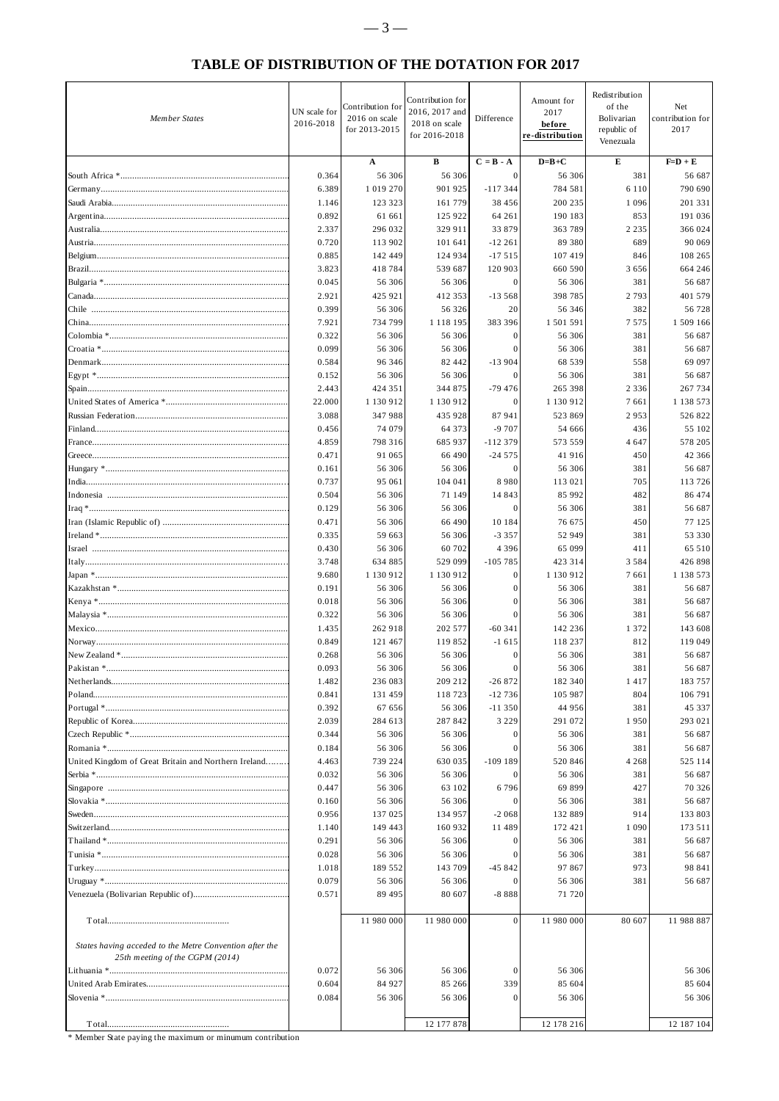### **TABLE OF DISTRIBUTION OF THE DOTATION FOR 2017**

| <b>Member States</b>                                                                       | UN scale for<br>2016-2018 | Contribution for<br>2016 on scale<br>for 2013-2015 | Contribution for<br>2016, 2017 and<br>2018 on scale<br>for 2016-2018 | Difference          | Amount for<br>2017<br>before<br>re-distribution | Redistribution<br>of the<br>Bolivarian<br>republic of<br>Venezuala | Net<br>contribution for<br>2017 |
|--------------------------------------------------------------------------------------------|---------------------------|----------------------------------------------------|----------------------------------------------------------------------|---------------------|-------------------------------------------------|--------------------------------------------------------------------|---------------------------------|
|                                                                                            |                           | A                                                  | В                                                                    | $C = B - A$         | $D=B+C$                                         | Е                                                                  | $F=D+E$                         |
|                                                                                            | 0.364                     | 56 306                                             | 56 30 6                                                              | $\mathbf{0}$        | 56 306                                          | 381                                                                | 56 687                          |
|                                                                                            | 6.389                     | 1 0 1 9 2 7 0                                      | 901 925                                                              | $-117344$           | 784 581                                         | 6 1 1 0                                                            | 790 690                         |
|                                                                                            | 1.146                     | 123 323                                            | 161 779                                                              | 38 456              | 200 235                                         | 1 0 9 6                                                            | 201 331                         |
|                                                                                            | 0.892<br>2.337            | 61 661<br>296 032                                  | 125 922<br>329 911                                                   | 64 261<br>33 879    | 190 183<br>363 789                              | 853<br>2 2 3 5                                                     | 191 036<br>366 024              |
|                                                                                            | 0.720                     | 113 902                                            | 101 641                                                              | $-12261$            | 89 380                                          | 689                                                                | 90 069                          |
|                                                                                            | 0.885                     | 142 449                                            | 124 934                                                              | $-17515$            | 107 419                                         | 846                                                                | 108 265                         |
|                                                                                            | 3.823                     | 418784                                             | 539 687                                                              | 120 903             | 660 590                                         | 3656                                                               | 664 246                         |
|                                                                                            | 0.045                     | 56 306                                             | 56 30 6                                                              | $\mathbf{0}$        | 56 306                                          | 381                                                                | 56 687                          |
|                                                                                            | 2.921                     | 425 921                                            | 412 353                                                              | $-13568$            | 398 785                                         | 2 7 9 3                                                            | 401 579                         |
|                                                                                            | 0.399<br>7.921            | 56 30 6<br>734 799                                 | 56 326<br>1 1 1 8 1 9 5                                              | 20<br>383 396       | 56 346<br>1 501 591                             | 382<br>7 5 7 5                                                     | 56 728<br>1 509 166             |
|                                                                                            | 0.322                     | 56 306                                             | 56 306                                                               | $\mathbf{0}$        | 56 306                                          | 381                                                                | 56 687                          |
|                                                                                            | 0.099                     | 56 306                                             | 56 30 6                                                              |                     | 56 30 6                                         | 381                                                                | 56 687                          |
|                                                                                            | 0.584                     | 96 346                                             | 82 442                                                               | $-13904$            | 68 539                                          | 558                                                                | 69 097                          |
|                                                                                            | 0.152                     | 56 306                                             | 56 306                                                               |                     | 56 306                                          | 381                                                                | 56 687                          |
|                                                                                            | 2.443                     | 424 351                                            | 344 875                                                              | $-79476$            | 265 398                                         | 2 3 3 6                                                            | 267 734                         |
|                                                                                            | 22.000                    | 1 130 912                                          | 1 130 912                                                            | 0                   | 1 130 912                                       | 7661                                                               | 1 138 573                       |
|                                                                                            | 3.088                     | 347988<br>74 079                                   | 435 928<br>64 373                                                    | 87 941<br>$-9707$   | 523 869<br>54 666                               | 2953<br>436                                                        | 526 822<br>55 102               |
|                                                                                            | 0.456<br>4.859            | 798 316                                            | 685 937                                                              | $-112379$           | 573 559                                         | 4 647                                                              | 578 205                         |
|                                                                                            | 0.471                     | 91 065                                             | 66 490                                                               | $-24575$            | 41916                                           | 450                                                                | 42 366                          |
|                                                                                            | 0.161                     | 56 306                                             | 56 30 6                                                              | $\mathbf{0}$        | 56 306                                          | 381                                                                | 56 687                          |
|                                                                                            | 0.737                     | 95 061                                             | 104 041                                                              | 8980                | 113 021                                         | 705                                                                | 113 726                         |
|                                                                                            | 0.504                     | 56 306                                             | 71 149                                                               | 14 843              | 85 992                                          | 482                                                                | 86 474                          |
|                                                                                            | 0.129                     | 56 306                                             | 56 306                                                               | $\mathbf{0}$        | 56 306                                          | 381                                                                | 56 687                          |
|                                                                                            | 0.471<br>0.335            | 56 306<br>59 663                                   | 66 490<br>56 306                                                     | 10 184<br>$-3.357$  | 76 675<br>52 949                                | 450<br>381                                                         | 77 125<br>53 330                |
|                                                                                            | 0.430                     | 56 30 6                                            | 60 702                                                               | 4 3 9 6             | 65 099                                          | 411                                                                | 65 510                          |
|                                                                                            | 3.748                     | 634 885                                            | 529 099                                                              | $-105785$           | 423 314                                         | 3 5 8 4                                                            | 426 898                         |
|                                                                                            | 9.680                     | 1 130 912                                          | 1 130 912                                                            | $\mathbf{0}$        | 1 130 912                                       | 7661                                                               | 1 138 573                       |
|                                                                                            | 0.191                     | 56 306                                             | 56 30 6                                                              | $\Omega$            | 56 306                                          | 381                                                                | 56 687                          |
|                                                                                            | 0.018                     | 56 306                                             | 56 30 6                                                              | $\Omega$            | 56 306                                          | 381                                                                | 56 687                          |
|                                                                                            | 0.322                     | 56 306                                             | 56 306                                                               | $\Omega$            | 56 306                                          | 381                                                                | 56 687                          |
|                                                                                            | 1.435<br>0.849            | 262 918<br>121 467                                 | 202 577<br>119852                                                    | $-60341$<br>$-1615$ | 142 236<br>118 237                              | 1 3 7 2<br>812                                                     | 143 608<br>119 049              |
|                                                                                            | 0.268                     | 56 306                                             | 56 306                                                               | $\mathbf{0}$        | 56 306                                          | 381                                                                | 56 687                          |
| Pakistan *                                                                                 | 0.093                     | 56 306                                             | 56 306                                                               | $\Omega$            | 56 306                                          | 381                                                                | 56 687                          |
|                                                                                            | 1.482                     | 236 083                                            | 209 212                                                              | $-26872$            | 182 340                                         | 1417                                                               | 183 757                         |
|                                                                                            | 0.841                     | 131 459                                            | 118723                                                               | $-12736$            | 105 987                                         | 804                                                                | 106 791                         |
|                                                                                            | 0.392                     | 67 656                                             | 56 30 6                                                              | $-11350$            | 44 956                                          | 381                                                                | 45 337                          |
|                                                                                            | 2.039                     | 284 613                                            | 287 842                                                              | 3 2 2 9             | 291 072                                         | 1950                                                               | 293 021                         |
|                                                                                            | 0.344<br>0.184            | 56 306<br>56 30 6                                  | 56 30 6<br>56 30 6                                                   |                     | 56 306<br>56 30 6                               | 381<br>381                                                         | 56 687<br>56 687                |
| United Kingdom of Great Britain and Northern Ireland                                       | 4.463                     | 739 224                                            | 630 035                                                              | $-109$ 189          | 520 846                                         | 4 2 6 8                                                            | 525 114                         |
|                                                                                            | 0.032                     | 56 306                                             | 56 30 6                                                              |                     | 56 306                                          | 381                                                                | 56 687                          |
|                                                                                            | 0.447                     | 56 306                                             | 63 102                                                               | 6796                | 69 899                                          | 427                                                                | 70 326                          |
|                                                                                            | 0.160                     | 56 306                                             | 56 306                                                               |                     | 56 306                                          | 381                                                                | 56 687                          |
|                                                                                            | 0.956                     | 137 025                                            | 134 957                                                              | $-2068$             | 132 889                                         | 914                                                                | 133 803                         |
|                                                                                            | 1.140<br>0.291            | 149 443<br>56 306                                  | 160 932<br>56 306                                                    | 11 489              | 172 421<br>56 306                               | 1 0 9 0<br>381                                                     | 173 511<br>56 687               |
|                                                                                            | 0.028                     | 56 306                                             | 56 30 6                                                              |                     | 56 306                                          | 381                                                                | 56 687                          |
|                                                                                            | 1.018                     | 189 552                                            | 143 709                                                              | $-45842$            | 97 867                                          | 973                                                                | 98 841                          |
|                                                                                            | 0.079                     | 56 30 6                                            | 56 30 6                                                              |                     | 56 306                                          | 381                                                                | 56 687                          |
|                                                                                            | 0.571                     | 89 495                                             | 80 607                                                               | $-8888$             | 71 720                                          |                                                                    |                                 |
|                                                                                            |                           | 11 980 000                                         | 11 980 000                                                           | $\mathbf{0}$        | 11 980 000                                      | 80 607                                                             | 11 988 887                      |
| States having acceded to the Metre Convention after the<br>25th meeting of the CGPM (2014) |                           |                                                    |                                                                      |                     |                                                 |                                                                    |                                 |
|                                                                                            | 0.072                     | 56 306                                             | 56 30 6                                                              |                     | 56 306                                          |                                                                    | 56 306                          |
|                                                                                            | 0.604                     | 84 927                                             | 85 26 6                                                              | 339                 | 85 604                                          |                                                                    | 85 604                          |
|                                                                                            | 0.084                     | 56 306                                             | 56 30 6                                                              | $\mathbf{0}$        | 56 306                                          |                                                                    | 56 306                          |
|                                                                                            |                           |                                                    | 12 177 878                                                           |                     | 12 178 216                                      |                                                                    | 12 187 104                      |
|                                                                                            |                           |                                                    |                                                                      |                     |                                                 |                                                                    |                                 |

\* Member State paying the maximum or minumum contribution